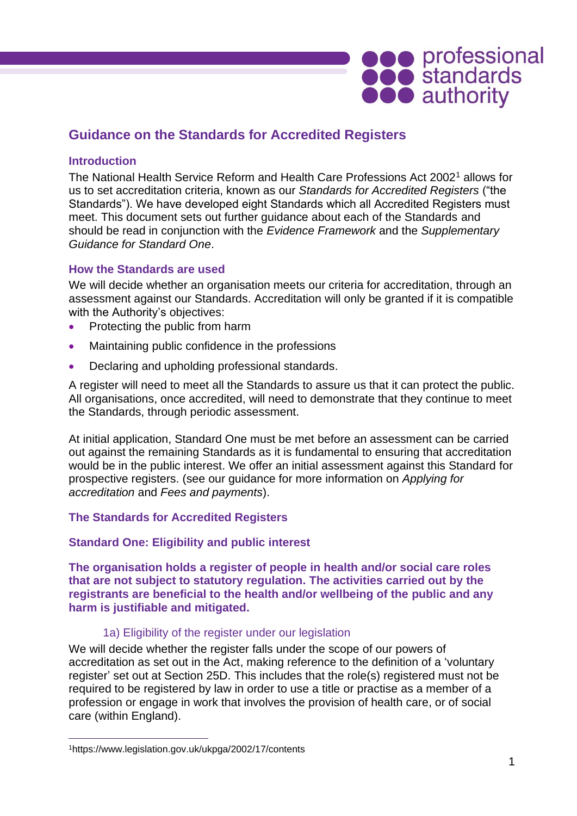

# **Guidance on the Standards for Accredited Registers**

# **Introduction**

The National Health Service Reform and Health Care Professions Act 2002<sup>1</sup> allows for us to set accreditation criteria, known as our *Standards for Accredited Registers* ("the Standards"). We have developed eight Standards which all Accredited Registers must meet. This document sets out further guidance about each of the Standards and should be read in conjunction with the *Evidence Framework* and the *Supplementary Guidance for Standard One*.

# **How the Standards are used**

We will decide whether an organisation meets our criteria for accreditation, through an assessment against our Standards. Accreditation will only be granted if it is compatible with the Authority's objectives:

- Protecting the public from harm
- Maintaining public confidence in the professions
- Declaring and upholding professional standards.

A register will need to meet all the Standards to assure us that it can protect the public. All organisations, once accredited, will need to demonstrate that they continue to meet the Standards, through periodic assessment.

At initial application, Standard One must be met before an assessment can be carried out against the remaining Standards as it is fundamental to ensuring that accreditation would be in the public interest. We offer an initial assessment against this Standard for prospective registers. (see our guidance for more information on *Applying for accreditation* and *Fees and payments*).

# **The Standards for Accredited Registers**

# **Standard One: Eligibility and public interest**

**The organisation holds a register of people in health and/or social care roles that are not subject to statutory regulation. The activities carried out by the registrants are beneficial to the health and/or wellbeing of the public and any harm is justifiable and mitigated.** 

# 1a) Eligibility of the register under our legislation

We will decide whether the register falls under the scope of our powers of accreditation as set out in the Act, making reference to the definition of a 'voluntary register' set out at Section 25D. This includes that the role(s) registered must not be required to be registered by law in order to use a title or practise as a member of a profession or engage in work that involves the provision of health care, or of social care (within England).

<sup>1</sup>https://www.legislation.gov.uk/ukpga/2002/17/contents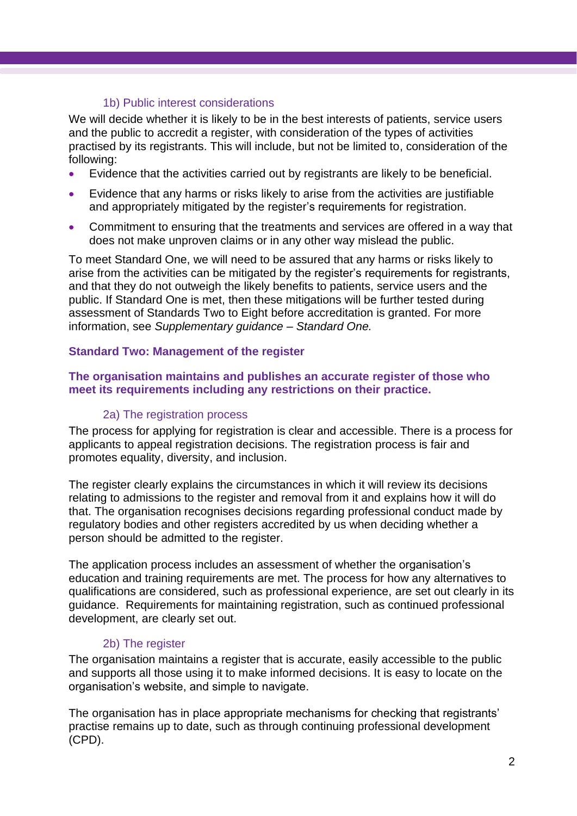# 1b) Public interest considerations

We will decide whether it is likely to be in the best interests of patients, service users and the public to accredit a register, with consideration of the types of activities practised by its registrants. This will include, but not be limited to, consideration of the following:

- Evidence that the activities carried out by registrants are likely to be beneficial.
- Evidence that any harms or risks likely to arise from the activities are justifiable and appropriately mitigated by the register's requirements for registration.
- Commitment to ensuring that the treatments and services are offered in a way that does not make unproven claims or in any other way mislead the public.

To meet Standard One, we will need to be assured that any harms or risks likely to arise from the activities can be mitigated by the register's requirements for registrants, and that they do not outweigh the likely benefits to patients, service users and the public. If Standard One is met, then these mitigations will be further tested during assessment of Standards Two to Eight before accreditation is granted. For more information, see *Supplementary guidance – Standard One.* 

# **Standard Two: Management of the register**

# **The organisation maintains and publishes an accurate register of those who meet its requirements including any restrictions on their practice.**

# 2a) The registration process

The process for applying for registration is clear and accessible. There is a process for applicants to appeal registration decisions. The registration process is fair and promotes equality, diversity, and inclusion.

The register clearly explains the circumstances in which it will review its decisions relating to admissions to the register and removal from it and explains how it will do that. The organisation recognises decisions regarding professional conduct made by regulatory bodies and other registers accredited by us when deciding whether a person should be admitted to the register.

The application process includes an assessment of whether the organisation's education and training requirements are met. The process for how any alternatives to qualifications are considered, such as professional experience, are set out clearly in its guidance. Requirements for maintaining registration, such as continued professional development, are clearly set out.

# 2b) The register

The organisation maintains a register that is accurate, easily accessible to the public and supports all those using it to make informed decisions. It is easy to locate on the organisation's website, and simple to navigate.

The organisation has in place appropriate mechanisms for checking that registrants' practise remains up to date, such as through continuing professional development (CPD).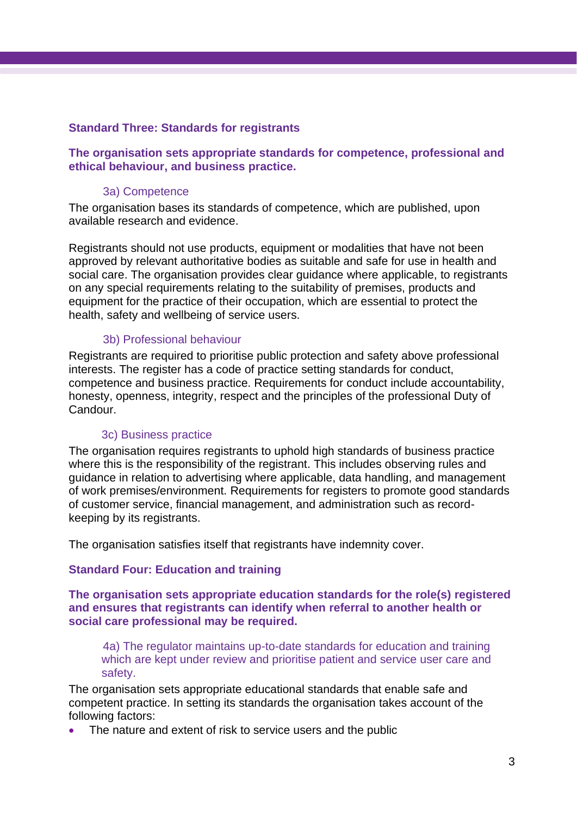# **Standard Three: Standards for registrants**

# **The organisation sets appropriate standards for competence, professional and ethical behaviour, and business practice.**

#### 3a) Competence

The organisation bases its standards of competence, which are published, upon available research and evidence.

Registrants should not use products, equipment or modalities that have not been approved by relevant authoritative bodies as suitable and safe for use in health and social care. The organisation provides clear guidance where applicable, to registrants on any special requirements relating to the suitability of premises, products and equipment for the practice of their occupation, which are essential to protect the health, safety and wellbeing of service users.

### 3b) Professional behaviour

Registrants are required to prioritise public protection and safety above professional interests. The register has a code of practice setting standards for conduct, competence and business practice. Requirements for conduct include accountability, honesty, openness, integrity, respect and the principles of the professional Duty of Candour.

#### 3c) Business practice

The organisation requires registrants to uphold high standards of business practice where this is the responsibility of the registrant. This includes observing rules and guidance in relation to advertising where applicable, data handling, and management of work premises/environment. Requirements for registers to promote good standards of customer service, financial management, and administration such as recordkeeping by its registrants.

The organisation satisfies itself that registrants have indemnity cover.

#### **Standard Four: Education and training**

**The organisation sets appropriate education standards for the role(s) registered and ensures that registrants can identify when referral to another health or social care professional may be required.**

4a) The regulator maintains up-to-date standards for education and training which are kept under review and prioritise patient and service user care and safety.

The organisation sets appropriate educational standards that enable safe and competent practice. In setting its standards the organisation takes account of the following factors:

The nature and extent of risk to service users and the public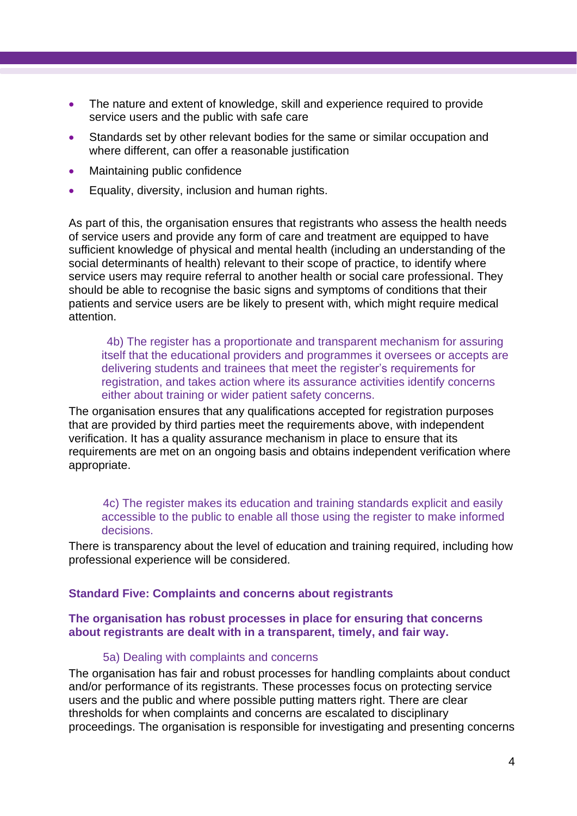- The nature and extent of knowledge, skill and experience required to provide service users and the public with safe care
- Standards set by other relevant bodies for the same or similar occupation and where different, can offer a reasonable justification
- Maintaining public confidence
- Equality, diversity, inclusion and human rights.

As part of this, the organisation ensures that registrants who assess the health needs of service users and provide any form of care and treatment are equipped to have sufficient knowledge of physical and mental health (including an understanding of the social determinants of health) relevant to their scope of practice, to identify where service users may require referral to another health or social care professional. They should be able to recognise the basic signs and symptoms of conditions that their patients and service users are be likely to present with, which might require medical attention.

4b) The register has a proportionate and transparent mechanism for assuring itself that the educational providers and programmes it oversees or accepts are delivering students and trainees that meet the register's requirements for registration, and takes action where its assurance activities identify concerns either about training or wider patient safety concerns.

The organisation ensures that any qualifications accepted for registration purposes that are provided by third parties meet the requirements above, with independent verification. It has a quality assurance mechanism in place to ensure that its requirements are met on an ongoing basis and obtains independent verification where appropriate.

4c) The register makes its education and training standards explicit and easily accessible to the public to enable all those using the register to make informed decisions.

There is transparency about the level of education and training required, including how professional experience will be considered.

#### **Standard Five: Complaints and concerns about registrants**

### **The organisation has robust processes in place for ensuring that concerns about registrants are dealt with in a transparent, timely, and fair way.**

#### 5a) Dealing with complaints and concerns

The organisation has fair and robust processes for handling complaints about conduct and/or performance of its registrants. These processes focus on protecting service users and the public and where possible putting matters right. There are clear thresholds for when complaints and concerns are escalated to disciplinary proceedings. The organisation is responsible for investigating and presenting concerns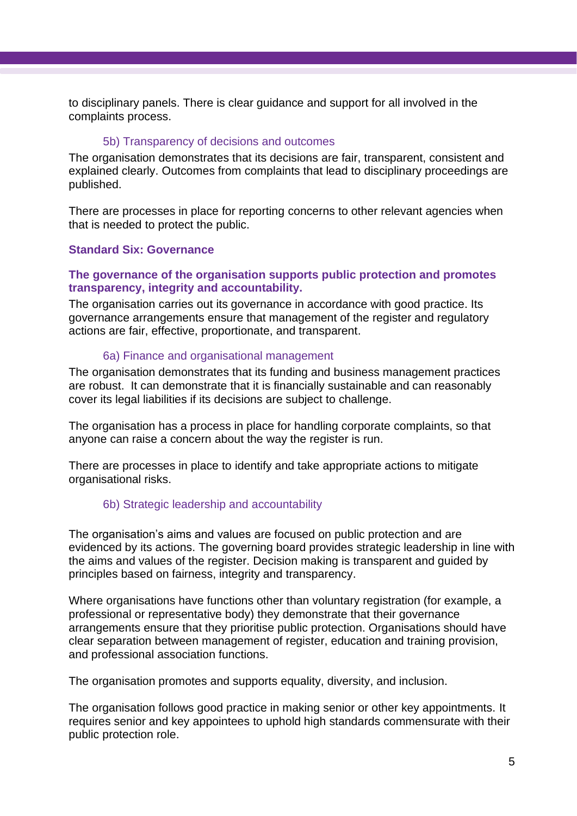to disciplinary panels. There is clear guidance and support for all involved in the complaints process.

### 5b) Transparency of decisions and outcomes

The organisation demonstrates that its decisions are fair, transparent, consistent and explained clearly. Outcomes from complaints that lead to disciplinary proceedings are published.

There are processes in place for reporting concerns to other relevant agencies when that is needed to protect the public.

# **Standard Six: Governance**

# **The governance of the organisation supports public protection and promotes transparency, integrity and accountability.**

The organisation carries out its governance in accordance with good practice. Its governance arrangements ensure that management of the register and regulatory actions are fair, effective, proportionate, and transparent.

### 6a) Finance and organisational management

The organisation demonstrates that its funding and business management practices are robust. It can demonstrate that it is financially sustainable and can reasonably cover its legal liabilities if its decisions are subject to challenge.

The organisation has a process in place for handling corporate complaints, so that anyone can raise a concern about the way the register is run.

There are processes in place to identify and take appropriate actions to mitigate organisational risks.

# 6b) Strategic leadership and accountability

The organisation's aims and values are focused on public protection and are evidenced by its actions. The governing board provides strategic leadership in line with the aims and values of the register. Decision making is transparent and guided by principles based on fairness, integrity and transparency.

Where organisations have functions other than voluntary registration (for example, a professional or representative body) they demonstrate that their governance arrangements ensure that they prioritise public protection. Organisations should have clear separation between management of register, education and training provision, and professional association functions.

The organisation promotes and supports equality, diversity, and inclusion.

The organisation follows good practice in making senior or other key appointments. It requires senior and key appointees to uphold high standards commensurate with their public protection role.